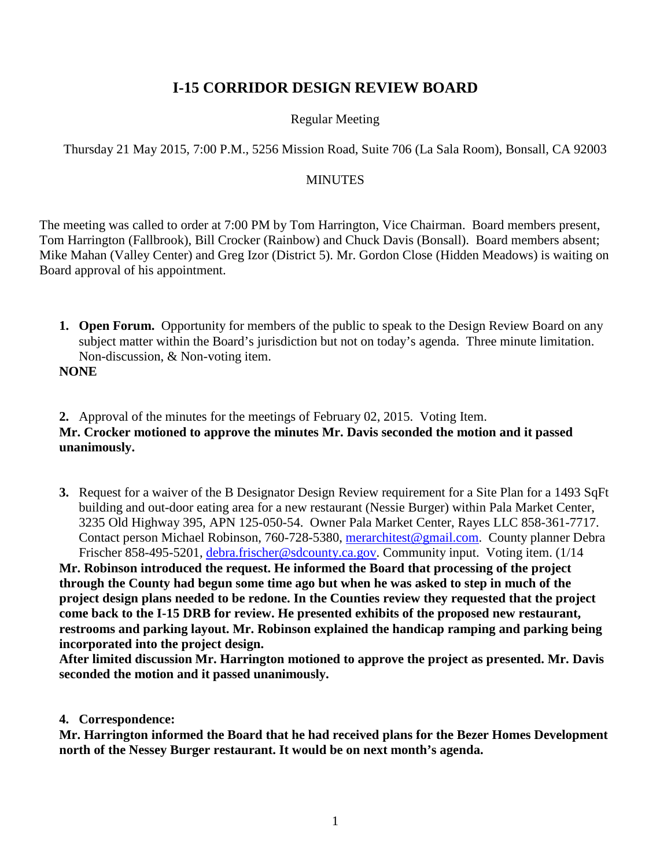# **I-15 CORRIDOR DESIGN REVIEW BOARD**

# Regular Meeting

# Thursday 21 May 2015, 7:00 P.M., 5256 Mission Road, Suite 706 (La Sala Room), Bonsall, CA 92003

### **MINUTES**

The meeting was called to order at 7:00 PM by Tom Harrington, Vice Chairman. Board members present, Tom Harrington (Fallbrook), Bill Crocker (Rainbow) and Chuck Davis (Bonsall). Board members absent; Mike Mahan (Valley Center) and Greg Izor (District 5). Mr. Gordon Close (Hidden Meadows) is waiting on Board approval of his appointment.

**1. Open Forum.** Opportunity for members of the public to speak to the Design Review Board on any subject matter within the Board's jurisdiction but not on today's agenda. Three minute limitation. Non-discussion, & Non-voting item.

**NONE**

**2.** Approval of the minutes for the meetings of February 02, 2015. Voting Item. **Mr. Crocker motioned to approve the minutes Mr. Davis seconded the motion and it passed unanimously.**

**3.** Request for a waiver of the B Designator Design Review requirement for a Site Plan for a 1493 SqFt building and out-door eating area for a new restaurant (Nessie Burger) within Pala Market Center, 3235 Old Highway 395, APN 125-050-54. Owner Pala Market Center, Rayes LLC 858-361-7717. Contact person Michael Robinson, 760-728-5380, [merarchitest@gmail.com.](mailto:merarchitest@gmail.com) County planner Debra Frischer 858-495-5201, [debra.frischer@sdcounty.ca.gov.](mailto:debra.frischer@sdcounty.ca.gov) Community input. Voting item. (1/14

**Mr. Robinson introduced the request. He informed the Board that processing of the project through the County had begun some time ago but when he was asked to step in much of the project design plans needed to be redone. In the Counties review they requested that the project come back to the I-15 DRB for review. He presented exhibits of the proposed new restaurant, restrooms and parking layout. Mr. Robinson explained the handicap ramping and parking being incorporated into the project design.** 

**After limited discussion Mr. Harrington motioned to approve the project as presented. Mr. Davis seconded the motion and it passed unanimously.** 

### **4. Correspondence:**

**Mr. Harrington informed the Board that he had received plans for the Bezer Homes Development north of the Nessey Burger restaurant. It would be on next month's agenda.**